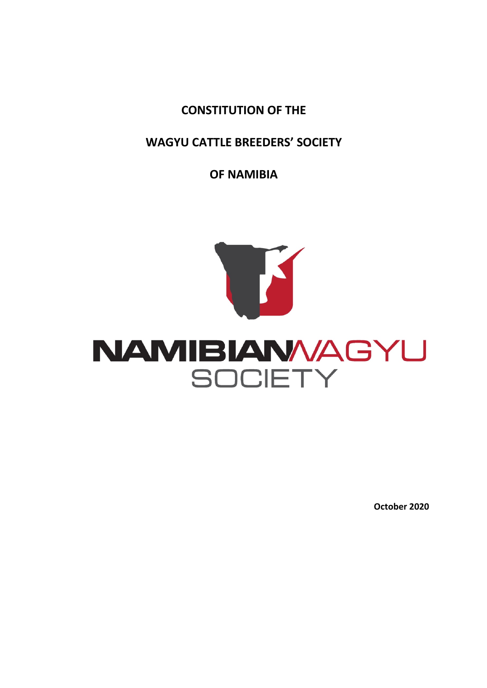# **CONSTITUTION OF THE**

# **WAGYU CATTLE BREEDERS' SOCIETY**

**OF NAMIBIA**



**October 2020**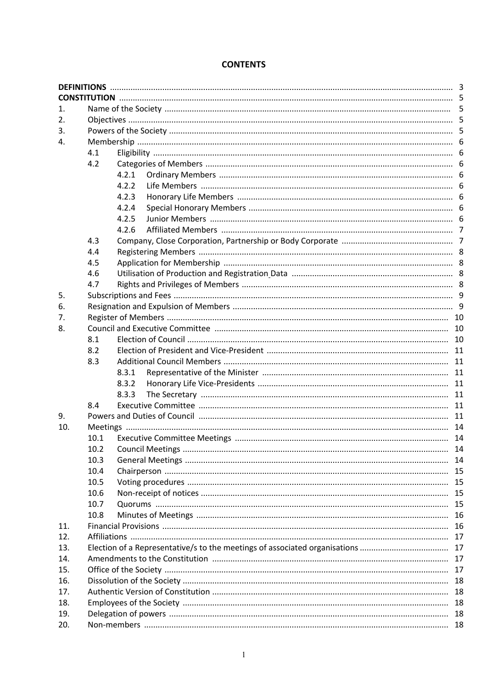| 1.  |                                                                                  |                         |    |  |  |  |
|-----|----------------------------------------------------------------------------------|-------------------------|----|--|--|--|
| 2.  |                                                                                  |                         |    |  |  |  |
| 3.  |                                                                                  |                         |    |  |  |  |
| 4.  |                                                                                  |                         |    |  |  |  |
|     | 4.1                                                                              |                         |    |  |  |  |
|     | 4.2                                                                              |                         |    |  |  |  |
|     |                                                                                  | 4.2.1                   |    |  |  |  |
|     |                                                                                  | 4.2.2                   |    |  |  |  |
|     |                                                                                  | 4.2.3                   |    |  |  |  |
|     |                                                                                  | 4.2.4                   |    |  |  |  |
|     |                                                                                  | 4.2.5                   |    |  |  |  |
|     |                                                                                  | 4.2.6                   |    |  |  |  |
|     | 4.3                                                                              |                         |    |  |  |  |
|     | 4.4                                                                              |                         |    |  |  |  |
|     | 4.5                                                                              |                         |    |  |  |  |
|     | 4.6                                                                              |                         |    |  |  |  |
|     | 4.7                                                                              |                         |    |  |  |  |
| 5.  |                                                                                  |                         |    |  |  |  |
| 6.  |                                                                                  |                         |    |  |  |  |
| 7.  |                                                                                  |                         |    |  |  |  |
| 8.  |                                                                                  |                         |    |  |  |  |
|     | 8.1                                                                              |                         |    |  |  |  |
|     | 8.2                                                                              |                         |    |  |  |  |
|     | 8.3                                                                              |                         |    |  |  |  |
|     |                                                                                  | 8.3.1                   |    |  |  |  |
|     |                                                                                  | 8.3.2                   |    |  |  |  |
|     |                                                                                  | 8.3.3                   |    |  |  |  |
|     | 8.4                                                                              |                         |    |  |  |  |
| 9.  |                                                                                  |                         |    |  |  |  |
| 10. |                                                                                  |                         |    |  |  |  |
|     | 10.1                                                                             |                         |    |  |  |  |
|     | 10.2 <sub>1</sub>                                                                | <b>Council Meetings</b> | 14 |  |  |  |
|     | 10.3                                                                             |                         |    |  |  |  |
|     | 10.4                                                                             |                         |    |  |  |  |
|     | 10.5                                                                             |                         |    |  |  |  |
|     | 10.6                                                                             |                         |    |  |  |  |
|     | 10.7                                                                             |                         | 15 |  |  |  |
|     | 10.8                                                                             |                         |    |  |  |  |
| 11. |                                                                                  |                         |    |  |  |  |
| 12. |                                                                                  |                         |    |  |  |  |
| 13. |                                                                                  |                         |    |  |  |  |
|     | Election of a Representative/s to the meetings of associated organisations<br>17 |                         |    |  |  |  |
| 14. |                                                                                  |                         |    |  |  |  |
| 15. |                                                                                  |                         |    |  |  |  |
| 16. | 18                                                                               |                         |    |  |  |  |
| 17. | 18                                                                               |                         |    |  |  |  |
| 18. | -18                                                                              |                         |    |  |  |  |
| 19. |                                                                                  |                         |    |  |  |  |
| 20. |                                                                                  |                         |    |  |  |  |

# **CONTENTS**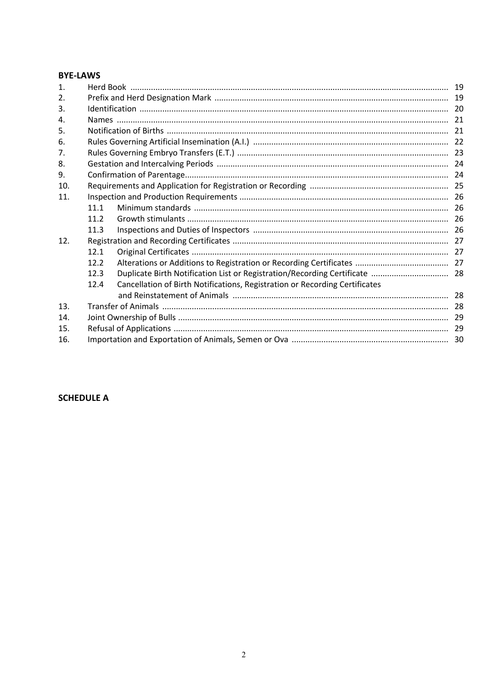# **BYE-LAWS**

| 1.  |      |                                                                             |  |  |
|-----|------|-----------------------------------------------------------------------------|--|--|
| 2.  |      |                                                                             |  |  |
| 3.  |      |                                                                             |  |  |
| 4.  |      |                                                                             |  |  |
| 5.  |      |                                                                             |  |  |
| 6.  |      |                                                                             |  |  |
| 7.  |      |                                                                             |  |  |
| 8.  |      |                                                                             |  |  |
| 9.  |      |                                                                             |  |  |
| 10. |      |                                                                             |  |  |
| 11. |      |                                                                             |  |  |
|     | 11.1 |                                                                             |  |  |
|     | 11.2 |                                                                             |  |  |
|     | 11.3 |                                                                             |  |  |
| 12. |      |                                                                             |  |  |
|     | 12.1 |                                                                             |  |  |
|     | 12.2 |                                                                             |  |  |
|     | 12.3 |                                                                             |  |  |
|     | 12.4 | Cancellation of Birth Notifications, Registration or Recording Certificates |  |  |
|     |      |                                                                             |  |  |
| 13. |      |                                                                             |  |  |
| 14. |      |                                                                             |  |  |
| 15. |      |                                                                             |  |  |
| 16. |      |                                                                             |  |  |

# **SCHEDULE A**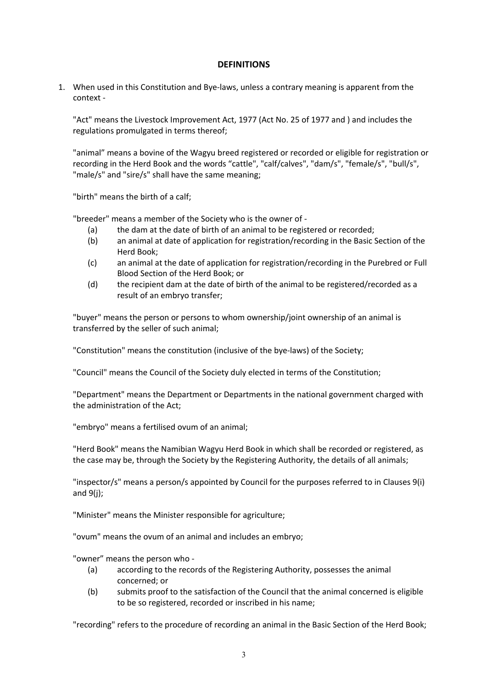#### **DEFINITIONS**

1. When used in this Constitution and Bye-laws, unless a contrary meaning is apparent from the context -

"Act" means the Livestock Improvement Act, 1977 (Act No. 25 of 1977 and ) and includes the regulations promulgated in terms thereof;

"animal" means a bovine of the Wagyu breed registered or recorded or eligible for registration or recording in the Herd Book and the words "cattle", "calf/calves", "dam/s", "female/s", "bull/s", "male/s" and "sire/s" shall have the same meaning;

"birth" means the birth of a calf;

"breeder" means a member of the Society who is the owner of -

- (a) the dam at the date of birth of an animal to be registered or recorded;
- (b) an animal at date of application for registration/recording in the Basic Section of the Herd Book;
- (c) an animal at the date of application for registration/recording in the Purebred or Full Blood Section of the Herd Book; or
- (d) the recipient dam at the date of birth of the animal to be registered/recorded as a result of an embryo transfer;

"buyer" means the person or persons to whom ownership/joint ownership of an animal is transferred by the seller of such animal;

"Constitution" means the constitution (inclusive of the bye-laws) of the Society;

"Council" means the Council of the Society duly elected in terms of the Constitution;

"Department" means the Department or Departments in the national government charged with the administration of the Act;

"embryo" means a fertilised ovum of an animal;

"Herd Book" means the Namibian Wagyu Herd Book in which shall be recorded or registered, as the case may be, through the Society by the Registering Authority, the details of all animals;

"inspector/s" means a person/s appointed by Council for the purposes referred to in Clauses 9(i) and  $9(i)$ :

"Minister" means the Minister responsible for agriculture;

"ovum" means the ovum of an animal and includes an embryo;

"owner" means the person who -

- (a) according to the records of the Registering Authority, possesses the animal concerned; or
- (b) submits proof to the satisfaction of the Council that the animal concerned is eligible to be so registered, recorded or inscribed in his name;

"recording" refers to the procedure of recording an animal in the Basic Section of the Herd Book;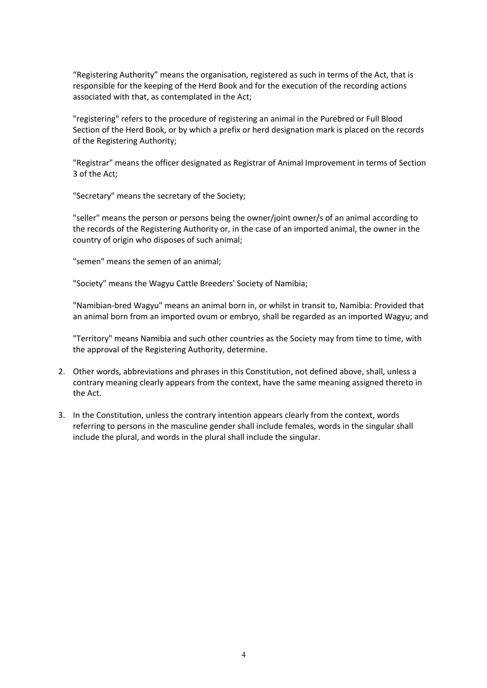"Registering Authority" means the organisation, registered as such in terms of the Act, that is responsible for the keeping of the Herd Book and for the execution of the recording actions associated with that, as contemplated in the Act;

"registering" refers to the procedure of registering an animal in the Purebred or Full Blood Section of the Herd Book, or by which a prefix or herd designation mark is placed on the records of the Registering Authority;

"Registrar" means the officer designated as Registrar of Animal Improvement in terms of Section 3 of the Act;

"Secretary" means the secretary of the Society;

"seller" means the person or persons being the owner/joint owner/s of an animal according to the records of the Registering Authority or, in the case of an imported animal, the owner in the country of origin who disposes of such animal;

"semen" means the semen of an animal;

"Society" means the Wagyu Cattle Breeders' Society of Namibia;

"Namibian-bred Wagyu" means an animal born in, or whilst in transit to, Namibia: Provided that an animal born from an imported ovum or embryo, shall be regarded as an imported Wagyu; and

"Territory" means Namibia and such other countries as the Society may from time to time, with the approval of the Registering Authority, determine.

- 2. Other words, abbreviations and phrases in this Constitution, not defined above, shall, unless a contrary meaning clearly appears from the context, have the same meaning assigned thereto in the Act.
- 3. In the Constitution, unless the contrary intention appears clearly from the context, words referring to persons in the masculine gender shall include females, words in the singular shall include the plural, and words in the plural shall include the singular.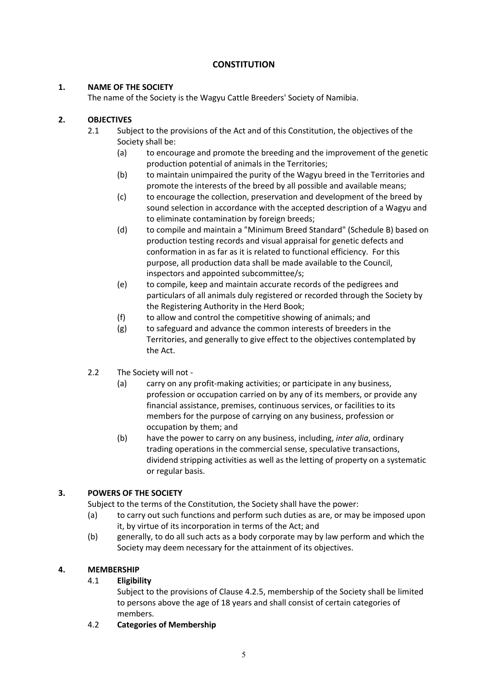# **CONSTITUTION**

# **1. NAME OF THE SOCIETY**

The name of the Society is the Wagyu Cattle Breeders' Society of Namibia.

# **2. OBJECTIVES**

- 2.1 Subject to the provisions of the Act and of this Constitution, the objectives of the Society shall be:
	- (a) to encourage and promote the breeding and the improvement of the genetic production potential of animals in the Territories;
	- (b) to maintain unimpaired the purity of the Wagyu breed in the Territories and promote the interests of the breed by all possible and available means;
	- (c) to encourage the collection, preservation and development of the breed by sound selection in accordance with the accepted description of a Wagyu and to eliminate contamination by foreign breeds;
	- (d) to compile and maintain a "Minimum Breed Standard" (Schedule B) based on production testing records and visual appraisal for genetic defects and conformation in as far as it is related to functional efficiency. For this purpose, all production data shall be made available to the Council, inspectors and appointed subcommittee/s;
	- (e) to compile, keep and maintain accurate records of the pedigrees and particulars of all animals duly registered or recorded through the Society by the Registering Authority in the Herd Book;
	- (f) to allow and control the competitive showing of animals; and
	- (g) to safeguard and advance the common interests of breeders in the Territories, and generally to give effect to the objectives contemplated by the Act.
- 2.2 The Society will not
	- (a) carry on any profit-making activities; or participate in any business, profession or occupation carried on by any of its members, or provide any financial assistance, premises, continuous services, or facilities to its members for the purpose of carrying on any business, profession or occupation by them; and
	- (b) have the power to carry on any business, including, *inter alia*, ordinary trading operations in the commercial sense, speculative transactions, dividend stripping activities as well as the letting of property on a systematic or regular basis.

# **3. POWERS OF THE SOCIETY**

Subject to the terms of the Constitution, the Society shall have the power:

- (a) to carry out such functions and perform such duties as are, or may be imposed upon it, by virtue of its incorporation in terms of the Act; and
- (b) generally, to do all such acts as a body corporate may by law perform and which the Society may deem necessary for the attainment of its objectives.

## **4. MEMBERSHIP**

# 4.1 **Eligibility**

Subject to the provisions of Clause 4.2.5, membership of the Society shall be limited to persons above the age of 18 years and shall consist of certain categories of members.

4.2 **Categories of Membership**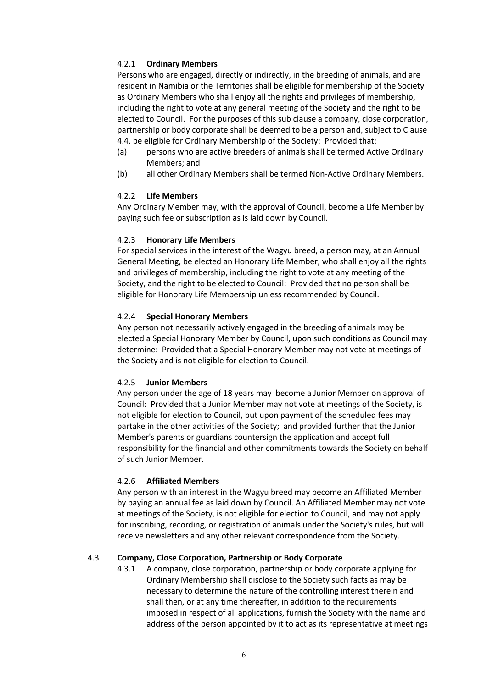### 4.2.1 **Ordinary Members**

Persons who are engaged, directly or indirectly, in the breeding of animals, and are resident in Namibia or the Territories shall be eligible for membership of the Society as Ordinary Members who shall enjoy all the rights and privileges of membership, including the right to vote at any general meeting of the Society and the right to be elected to Council. For the purposes of this sub clause a company, close corporation, partnership or body corporate shall be deemed to be a person and, subject to Clause 4.4, be eligible for Ordinary Membership of the Society: Provided that:

- (a) persons who are active breeders of animals shall be termed Active Ordinary Members; and
- (b) all other Ordinary Members shall be termed Non-Active Ordinary Members.

#### 4.2.2 **Life Members**

Any Ordinary Member may, with the approval of Council, become a Life Member by paying such fee or subscription as is laid down by Council.

#### 4.2.3 **Honorary Life Members**

For special services in the interest of the Wagyu breed, a person may, at an Annual General Meeting, be elected an Honorary Life Member, who shall enjoy all the rights and privileges of membership, including the right to vote at any meeting of the Society, and the right to be elected to Council: Provided that no person shall be eligible for Honorary Life Membership unless recommended by Council.

#### 4.2.4 **Special Honorary Members**

Any person not necessarily actively engaged in the breeding of animals may be elected a Special Honorary Member by Council, upon such conditions as Council may determine: Provided that a Special Honorary Member may not vote at meetings of the Society and is not eligible for election to Council.

#### 4.2.5 **Junior Members**

Any person under the age of 18 years may become a Junior Member on approval of Council: Provided that a Junior Member may not vote at meetings of the Society, is not eligible for election to Council, but upon payment of the scheduled fees may partake in the other activities of the Society; and provided further that the Junior Member's parents or guardians countersign the application and accept full responsibility for the financial and other commitments towards the Society on behalf of such Junior Member.

#### 4.2.6 **Affiliated Members**

Any person with an interest in the Wagyu breed may become an Affiliated Member by paying an annual fee as laid down by Council. An Affiliated Member may not vote at meetings of the Society, is not eligible for election to Council, and may not apply for inscribing, recording, or registration of animals under the Society's rules, but will receive newsletters and any other relevant correspondence from the Society.

## 4.3 **Company, Close Corporation, Partnership or Body Corporate**

4.3.1 A company, close corporation, partnership or body corporate applying for Ordinary Membership shall disclose to the Society such facts as may be necessary to determine the nature of the controlling interest therein and shall then, or at any time thereafter, in addition to the requirements imposed in respect of all applications, furnish the Society with the name and address of the person appointed by it to act as its representative at meetings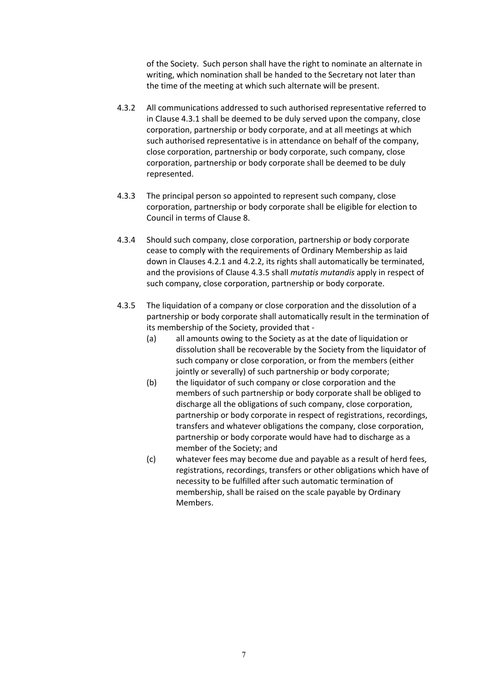of the Society. Such person shall have the right to nominate an alternate in writing, which nomination shall be handed to the Secretary not later than the time of the meeting at which such alternate will be present.

- 4.3.2 All communications addressed to such authorised representative referred to in Clause 4.3.1 shall be deemed to be duly served upon the company, close corporation, partnership or body corporate, and at all meetings at which such authorised representative is in attendance on behalf of the company, close corporation, partnership or body corporate, such company, close corporation, partnership or body corporate shall be deemed to be duly represented.
- 4.3.3 The principal person so appointed to represent such company, close corporation, partnership or body corporate shall be eligible for election to Council in terms of Clause 8.
- 4.3.4 Should such company, close corporation, partnership or body corporate cease to comply with the requirements of Ordinary Membership as laid down in Clauses 4.2.1 and 4.2.2, its rights shall automatically be terminated, and the provisions of Clause 4.3.5 shall *mutatis mutandis* apply in respect of such company, close corporation, partnership or body corporate.
- 4.3.5 The liquidation of a company or close corporation and the dissolution of a partnership or body corporate shall automatically result in the termination of its membership of the Society, provided that -
	- (a) all amounts owing to the Society as at the date of liquidation or dissolution shall be recoverable by the Society from the liquidator of such company or close corporation, or from the members (either jointly or severally) of such partnership or body corporate;
	- (b) the liquidator of such company or close corporation and the members of such partnership or body corporate shall be obliged to discharge all the obligations of such company, close corporation, partnership or body corporate in respect of registrations, recordings, transfers and whatever obligations the company, close corporation, partnership or body corporate would have had to discharge as a member of the Society; and
	- (c) whatever fees may become due and payable as a result of herd fees, registrations, recordings, transfers or other obligations which have of necessity to be fulfilled after such automatic termination of membership, shall be raised on the scale payable by Ordinary Members.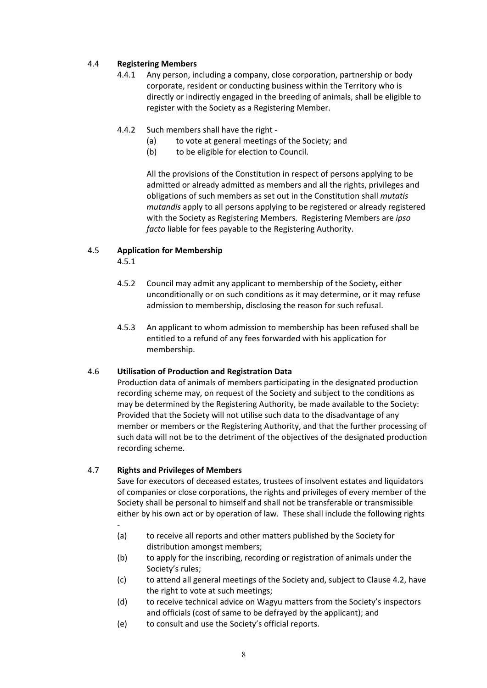## 4.4 **Registering Members**

- 4.4.1 Any person, including a company, close corporation, partnership or body corporate, resident or conducting business within the Territory who is directly or indirectly engaged in the breeding of animals, shall be eligible to register with the Society as a Registering Member.
- 4.4.2 Such members shall have the right
	- (a) to vote at general meetings of the Society; and
	- (b) to be eligible for election to Council.

All the provisions of the Constitution in respect of persons applying to be admitted or already admitted as members and all the rights, privileges and obligations of such members as set out in the Constitution shall *mutatis mutandis* apply to all persons applying to be registered or already registered with the Society as Registering Members. Registering Members are *ipso facto* liable for fees payable to the Registering Authority.

#### 4.5 **Application for Membership**

4.5.1

- 4.5.2 Council may admit any applicant to membership of the Society**,** either unconditionally or on such conditions as it may determine, or it may refuse admission to membership, disclosing the reason for such refusal.
- 4.5.3 An applicant to whom admission to membership has been refused shall be entitled to a refund of any fees forwarded with his application for membership.

## 4.6 **Utilisation of Production and Registration Data**

Production data of animals of members participating in the designated production recording scheme may, on request of the Society and subject to the conditions as may be determined by the Registering Authority, be made available to the Society: Provided that the Society will not utilise such data to the disadvantage of any member or members or the Registering Authority, and that the further processing of such data will not be to the detriment of the objectives of the designated production recording scheme.

## 4.7 **Rights and Privileges of Members**

Save for executors of deceased estates, trustees of insolvent estates and liquidators of companies or close corporations, the rights and privileges of every member of the Society shall be personal to himself and shall not be transferable or transmissible either by his own act or by operation of law. These shall include the following rights -

- (a) to receive all reports and other matters published by the Society for distribution amongst members;
- (b) to apply for the inscribing, recording or registration of animals under the Society's rules;
- (c) to attend all general meetings of the Society and, subject to Clause 4.2, have the right to vote at such meetings;
- (d) to receive technical advice on Wagyu matters from the Society's inspectors and officials (cost of same to be defrayed by the applicant); and
- (e) to consult and use the Society's official reports.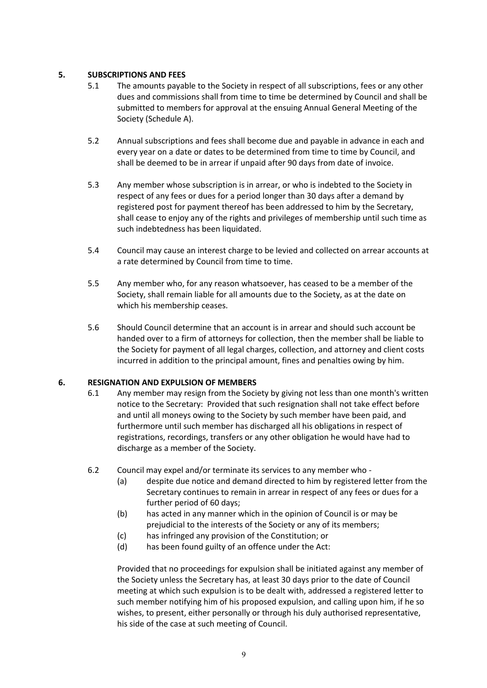#### **5. SUBSCRIPTIONS AND FEES**

- 5.1 The amounts payable to the Society in respect of all subscriptions, fees or any other dues and commissions shall from time to time be determined by Council and shall be submitted to members for approval at the ensuing Annual General Meeting of the Society (Schedule A).
- 5.2 Annual subscriptions and fees shall become due and payable in advance in each and every year on a date or dates to be determined from time to time by Council, and shall be deemed to be in arrear if unpaid after 90 days from date of invoice.
- 5.3 Any member whose subscription is in arrear, or who is indebted to the Society in respect of any fees or dues for a period longer than 30 days after a demand by registered post for payment thereof has been addressed to him by the Secretary, shall cease to enjoy any of the rights and privileges of membership until such time as such indebtedness has been liquidated.
- 5.4 Council may cause an interest charge to be levied and collected on arrear accounts at a rate determined by Council from time to time.
- 5.5 Any member who, for any reason whatsoever, has ceased to be a member of the Society, shall remain liable for all amounts due to the Society, as at the date on which his membership ceases.
- 5.6 Should Council determine that an account is in arrear and should such account be handed over to a firm of attorneys for collection, then the member shall be liable to the Society for payment of all legal charges, collection, and attorney and client costs incurred in addition to the principal amount, fines and penalties owing by him.

#### **6. RESIGNATION AND EXPULSION OF MEMBERS**

- 6.1 Any member may resign from the Society by giving not less than one month's written notice to the Secretary: Provided that such resignation shall not take effect before and until all moneys owing to the Society by such member have been paid, and furthermore until such member has discharged all his obligations in respect of registrations, recordings, transfers or any other obligation he would have had to discharge as a member of the Society.
- 6.2 Council may expel and/or terminate its services to any member who
	- (a) despite due notice and demand directed to him by registered letter from the Secretary continues to remain in arrear in respect of any fees or dues for a further period of 60 days;
	- (b) has acted in any manner which in the opinion of Council is or may be prejudicial to the interests of the Society or any of its members;
	- (c) has infringed any provision of the Constitution; or
	- (d) has been found guilty of an offence under the Act:

Provided that no proceedings for expulsion shall be initiated against any member of the Society unless the Secretary has, at least 30 days prior to the date of Council meeting at which such expulsion is to be dealt with, addressed a registered letter to such member notifying him of his proposed expulsion, and calling upon him, if he so wishes, to present, either personally or through his duly authorised representative, his side of the case at such meeting of Council.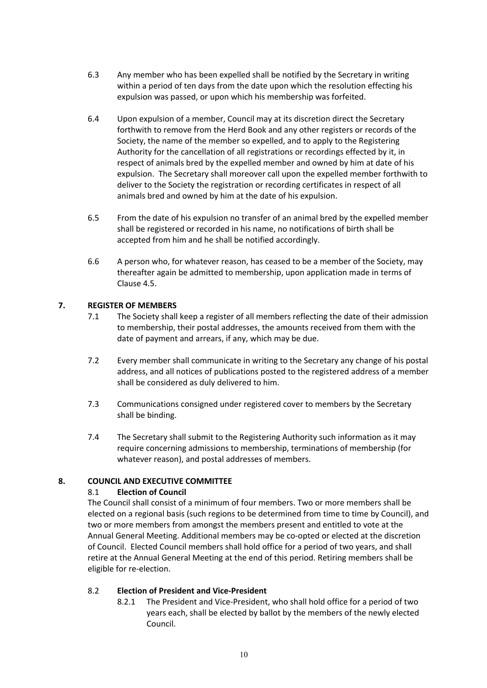- 6.3 Any member who has been expelled shall be notified by the Secretary in writing within a period of ten days from the date upon which the resolution effecting his expulsion was passed, or upon which his membership was forfeited.
- 6.4 Upon expulsion of a member, Council may at its discretion direct the Secretary forthwith to remove from the Herd Book and any other registers or records of the Society, the name of the member so expelled, and to apply to the Registering Authority for the cancellation of all registrations or recordings effected by it, in respect of animals bred by the expelled member and owned by him at date of his expulsion. The Secretary shall moreover call upon the expelled member forthwith to deliver to the Society the registration or recording certificates in respect of all animals bred and owned by him at the date of his expulsion.
- 6.5 From the date of his expulsion no transfer of an animal bred by the expelled member shall be registered or recorded in his name, no notifications of birth shall be accepted from him and he shall be notified accordingly.
- 6.6 A person who, for whatever reason, has ceased to be a member of the Society, may thereafter again be admitted to membership, upon application made in terms of Clause 4.5.

#### **7. REGISTER OF MEMBERS**

- 7.1 The Society shall keep a register of all members reflecting the date of their admission to membership, their postal addresses, the amounts received from them with the date of payment and arrears, if any, which may be due.
- 7.2 Every member shall communicate in writing to the Secretary any change of his postal address, and all notices of publications posted to the registered address of a member shall be considered as duly delivered to him.
- 7.3 Communications consigned under registered cover to members by the Secretary shall be binding.
- 7.4 The Secretary shall submit to the Registering Authority such information as it may require concerning admissions to membership, terminations of membership (for whatever reason), and postal addresses of members.

#### **8. COUNCIL AND EXECUTIVE COMMITTEE**

## 8.1 **Election of Council**

The Council shall consist of a minimum of four members. Two or more members shall be elected on a regional basis (such regions to be determined from time to time by Council), and two or more members from amongst the members present and entitled to vote at the Annual General Meeting. Additional members may be co-opted or elected at the discretion of Council. Elected Council members shall hold office for a period of two years, and shall retire at the Annual General Meeting at the end of this period. Retiring members shall be eligible for re-election.

#### 8.2 **Election of President and Vice-President**

8.2.1 The President and Vice-President, who shall hold office for a period of two years each, shall be elected by ballot by the members of the newly elected Council.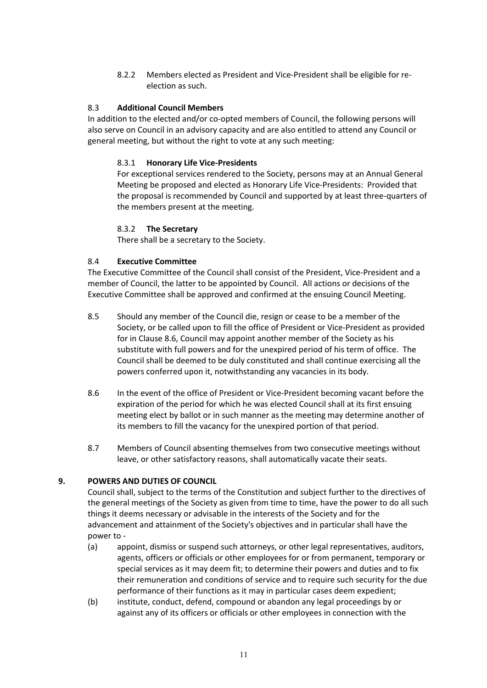8.2.2 Members elected as President and Vice-President shall be eligible for reelection as such.

## 8.3 **Additional Council Members**

In addition to the elected and/or co-opted members of Council, the following persons will also serve on Council in an advisory capacity and are also entitled to attend any Council or general meeting, but without the right to vote at any such meeting:

#### 8.3.1 **Honorary Life Vice-Presidents**

For exceptional services rendered to the Society, persons may at an Annual General Meeting be proposed and elected as Honorary Life Vice-Presidents: Provided that the proposal is recommended by Council and supported by at least three-quarters of the members present at the meeting.

#### 8.3.2 **The Secretary**

There shall be a secretary to the Society.

#### 8.4 **Executive Committee**

The Executive Committee of the Council shall consist of the President, Vice-President and a member of Council, the latter to be appointed by Council. All actions or decisions of the Executive Committee shall be approved and confirmed at the ensuing Council Meeting.

- 8.5 Should any member of the Council die, resign or cease to be a member of the Society, or be called upon to fill the office of President or Vice-President as provided for in Clause 8.6, Council may appoint another member of the Society as his substitute with full powers and for the unexpired period of his term of office. The Council shall be deemed to be duly constituted and shall continue exercising all the powers conferred upon it, notwithstanding any vacancies in its body.
- 8.6 In the event of the office of President or Vice-President becoming vacant before the expiration of the period for which he was elected Council shall at its first ensuing meeting elect by ballot or in such manner as the meeting may determine another of its members to fill the vacancy for the unexpired portion of that period.
- 8.7 Members of Council absenting themselves from two consecutive meetings without leave, or other satisfactory reasons, shall automatically vacate their seats.

## **9. POWERS AND DUTIES OF COUNCIL**

Council shall, subject to the terms of the Constitution and subject further to the directives of the general meetings of the Society as given from time to time, have the power to do all such things it deems necessary or advisable in the interests of the Society and for the advancement and attainment of the Society's objectives and in particular shall have the power to -

- (a) appoint, dismiss or suspend such attorneys, or other legal representatives, auditors, agents, officers or officials or other employees for or from permanent, temporary or special services as it may deem fit; to determine their powers and duties and to fix their remuneration and conditions of service and to require such security for the due performance of their functions as it may in particular cases deem expedient;
- (b) institute, conduct, defend, compound or abandon any legal proceedings by or against any of its officers or officials or other employees in connection with the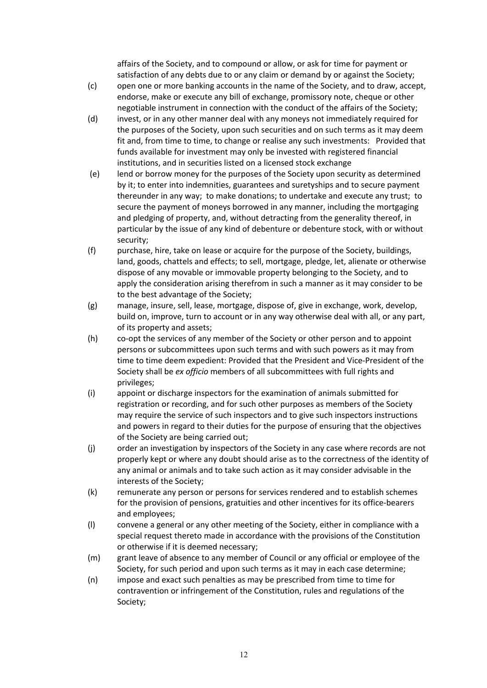affairs of the Society, and to compound or allow, or ask for time for payment or satisfaction of any debts due to or any claim or demand by or against the Society;

- (c) open one or more banking accounts in the name of the Society, and to draw, accept, endorse, make or execute any bill of exchange, promissory note, cheque or other negotiable instrument in connection with the conduct of the affairs of the Society;
- (d) invest, or in any other manner deal with any moneys not immediately required for the purposes of the Society, upon such securities and on such terms as it may deem fit and, from time to time, to change or realise any such investments: Provided that funds available for investment may only be invested with registered financial institutions, and in securities listed on a licensed stock exchange
- (e) lend or borrow money for the purposes of the Society upon security as determined by it; to enter into indemnities, guarantees and suretyships and to secure payment thereunder in any way; to make donations; to undertake and execute any trust; to secure the payment of moneys borrowed in any manner, including the mortgaging and pledging of property, and, without detracting from the generality thereof, in particular by the issue of any kind of debenture or debenture stock, with or without security;
- (f) purchase, hire, take on lease or acquire for the purpose of the Society, buildings, land, goods, chattels and effects; to sell, mortgage, pledge, let, alienate or otherwise dispose of any movable or immovable property belonging to the Society, and to apply the consideration arising therefrom in such a manner as it may consider to be to the best advantage of the Society;
- (g) manage, insure, sell, lease, mortgage, dispose of, give in exchange, work, develop, build on, improve, turn to account or in any way otherwise deal with all, or any part, of its property and assets;
- (h) co-opt the services of any member of the Society or other person and to appoint persons or subcommittees upon such terms and with such powers as it may from time to time deem expedient: Provided that the President and Vice-President of the Society shall be *ex officio* members of all subcommittees with full rights and privileges;
- (i) appoint or discharge inspectors for the examination of animals submitted for registration or recording, and for such other purposes as members of the Society may require the service of such inspectors and to give such inspectors instructions and powers in regard to their duties for the purpose of ensuring that the objectives of the Society are being carried out;
- (j) order an investigation by inspectors of the Society in any case where records are not properly kept or where any doubt should arise as to the correctness of the identity of any animal or animals and to take such action as it may consider advisable in the interests of the Society;
- (k) remunerate any person or persons for services rendered and to establish schemes for the provision of pensions, gratuities and other incentives for its office-bearers and employees;
- (l) convene a general or any other meeting of the Society, either in compliance with a special request thereto made in accordance with the provisions of the Constitution or otherwise if it is deemed necessary;
- (m) grant leave of absence to any member of Council or any official or employee of the Society, for such period and upon such terms as it may in each case determine;
- (n) impose and exact such penalties as may be prescribed from time to time for contravention or infringement of the Constitution, rules and regulations of the Society;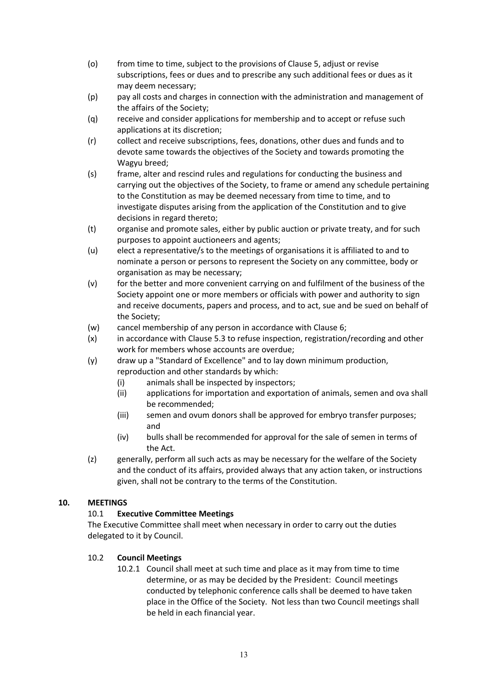- (o) from time to time, subject to the provisions of Clause 5, adjust or revise subscriptions, fees or dues and to prescribe any such additional fees or dues as it may deem necessary;
- (p) pay all costs and charges in connection with the administration and management of the affairs of the Society;
- (q) receive and consider applications for membership and to accept or refuse such applications at its discretion;
- (r) collect and receive subscriptions, fees, donations, other dues and funds and to devote same towards the objectives of the Society and towards promoting the Wagyu breed;
- (s) frame, alter and rescind rules and regulations for conducting the business and carrying out the objectives of the Society, to frame or amend any schedule pertaining to the Constitution as may be deemed necessary from time to time, and to investigate disputes arising from the application of the Constitution and to give decisions in regard thereto;
- (t) organise and promote sales, either by public auction or private treaty, and for such purposes to appoint auctioneers and agents;
- (u) elect a representative/s to the meetings of organisations it is affiliated to and to nominate a person or persons to represent the Society on any committee, body or organisation as may be necessary;
- (v) for the better and more convenient carrying on and fulfilment of the business of the Society appoint one or more members or officials with power and authority to sign and receive documents, papers and process, and to act, sue and be sued on behalf of the Society;
- (w) cancel membership of any person in accordance with Clause 6;
- (x) in accordance with Clause 5.3 to refuse inspection, registration/recording and other work for members whose accounts are overdue;
- (y) draw up a "Standard of Excellence" and to lay down minimum production, reproduction and other standards by which:
	- (i) animals shall be inspected by inspectors;
	- (ii) applications for importation and exportation of animals, semen and ova shall be recommended;
	- (iii) semen and ovum donors shall be approved for embryo transfer purposes; and
	- (iv) bulls shall be recommended for approval for the sale of semen in terms of the Act.
- (z) generally, perform all such acts as may be necessary for the welfare of the Society and the conduct of its affairs, provided always that any action taken, or instructions given, shall not be contrary to the terms of the Constitution.

## **10. MEETINGS**

## 10.1 **Executive Committee Meetings**

The Executive Committee shall meet when necessary in order to carry out the duties delegated to it by Council.

## 10.2 **Council Meetings**

10.2.1 Council shall meet at such time and place as it may from time to time determine, or as may be decided by the President: Council meetings conducted by telephonic conference calls shall be deemed to have taken place in the Office of the Society. Not less than two Council meetings shall be held in each financial year.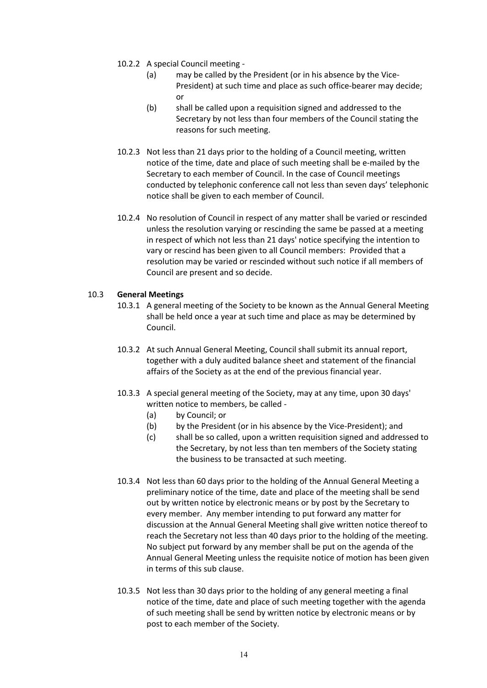- 10.2.2 A special Council meeting
	- (a) may be called by the President (or in his absence by the Vice-President) at such time and place as such office-bearer may decide; or
	- (b) shall be called upon a requisition signed and addressed to the Secretary by not less than four members of the Council stating the reasons for such meeting.
- 10.2.3 Not less than 21 days prior to the holding of a Council meeting, written notice of the time, date and place of such meeting shall be e-mailed by the Secretary to each member of Council. In the case of Council meetings conducted by telephonic conference call not less than seven days' telephonic notice shall be given to each member of Council.
- 10.2.4 No resolution of Council in respect of any matter shall be varied or rescinded unless the resolution varying or rescinding the same be passed at a meeting in respect of which not less than 21 days' notice specifying the intention to vary or rescind has been given to all Council members: Provided that a resolution may be varied or rescinded without such notice if all members of Council are present and so decide.

## 10.3 **General Meetings**

- 10.3.1 A general meeting of the Society to be known as the Annual General Meeting shall be held once a year at such time and place as may be determined by Council.
- 10.3.2 At such Annual General Meeting, Council shall submit its annual report, together with a duly audited balance sheet and statement of the financial affairs of the Society as at the end of the previous financial year.
- 10.3.3 A special general meeting of the Society, may at any time, upon 30 days' written notice to members, be called -
	- (a) by Council; or
	- (b) by the President (or in his absence by the Vice-President); and
	- (c) shall be so called, upon a written requisition signed and addressed to the Secretary, by not less than ten members of the Society stating the business to be transacted at such meeting.
- 10.3.4 Not less than 60 days prior to the holding of the Annual General Meeting a preliminary notice of the time, date and place of the meeting shall be send out by written notice by electronic means or by post by the Secretary to every member. Any member intending to put forward any matter for discussion at the Annual General Meeting shall give written notice thereof to reach the Secretary not less than 40 days prior to the holding of the meeting. No subject put forward by any member shall be put on the agenda of the Annual General Meeting unless the requisite notice of motion has been given in terms of this sub clause.
- 10.3.5 Not less than 30 days prior to the holding of any general meeting a final notice of the time, date and place of such meeting together with the agenda of such meeting shall be send by written notice by electronic means or by post to each member of the Society.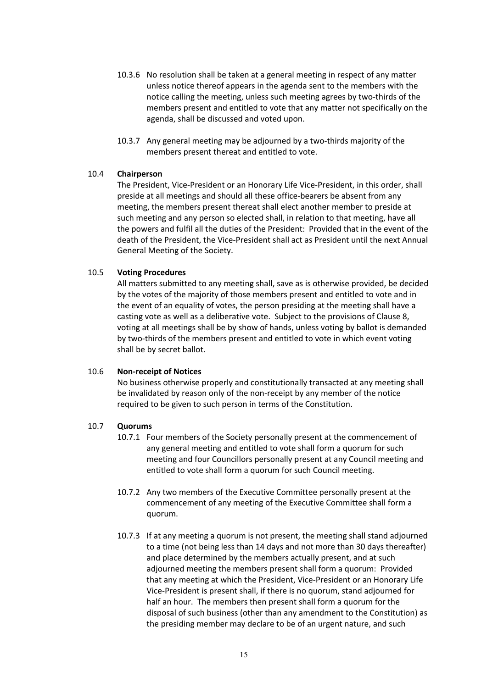- 10.3.6 No resolution shall be taken at a general meeting in respect of any matter unless notice thereof appears in the agenda sent to the members with the notice calling the meeting, unless such meeting agrees by two-thirds of the members present and entitled to vote that any matter not specifically on the agenda, shall be discussed and voted upon.
- 10.3.7 Any general meeting may be adjourned by a two-thirds majority of the members present thereat and entitled to vote.

#### 10.4 **Chairperson**

The President, Vice-President or an Honorary Life Vice-President, in this order, shall preside at all meetings and should all these office-bearers be absent from any meeting, the members present thereat shall elect another member to preside at such meeting and any person so elected shall, in relation to that meeting, have all the powers and fulfil all the duties of the President: Provided that in the event of the death of the President, the Vice-President shall act as President until the next Annual General Meeting of the Society.

#### 10.5 **Voting Procedures**

All matters submitted to any meeting shall, save as is otherwise provided, be decided by the votes of the majority of those members present and entitled to vote and in the event of an equality of votes, the person presiding at the meeting shall have a casting vote as well as a deliberative vote. Subject to the provisions of Clause 8, voting at all meetings shall be by show of hands, unless voting by ballot is demanded by two-thirds of the members present and entitled to vote in which event voting shall be by secret ballot.

#### 10.6 **Non-receipt of Notices**

No business otherwise properly and constitutionally transacted at any meeting shall be invalidated by reason only of the non-receipt by any member of the notice required to be given to such person in terms of the Constitution.

#### 10.7 **Quorums**

- 10.7.1 Four members of the Society personally present at the commencement of any general meeting and entitled to vote shall form a quorum for such meeting and four Councillors personally present at any Council meeting and entitled to vote shall form a quorum for such Council meeting.
- 10.7.2 Any two members of the Executive Committee personally present at the commencement of any meeting of the Executive Committee shall form a quorum.
- 10.7.3 If at any meeting a quorum is not present, the meeting shall stand adjourned to a time (not being less than 14 days and not more than 30 days thereafter) and place determined by the members actually present, and at such adjourned meeting the members present shall form a quorum: Provided that any meeting at which the President, Vice-President or an Honorary Life Vice-President is present shall, if there is no quorum, stand adjourned for half an hour. The members then present shall form a quorum for the disposal of such business (other than any amendment to the Constitution) as the presiding member may declare to be of an urgent nature, and such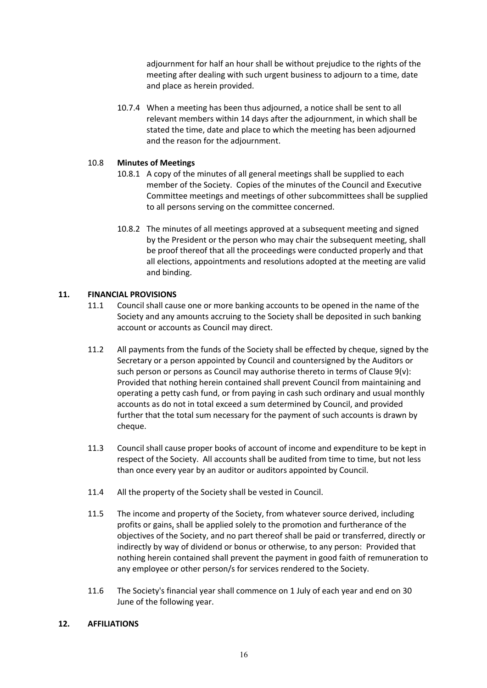adjournment for half an hour shall be without prejudice to the rights of the meeting after dealing with such urgent business to adjourn to a time, date and place as herein provided.

10.7.4 When a meeting has been thus adjourned, a notice shall be sent to all relevant members within 14 days after the adjournment, in which shall be stated the time, date and place to which the meeting has been adjourned and the reason for the adjournment.

### 10.8 **Minutes of Meetings**

- 10.8.1 A copy of the minutes of all general meetings shall be supplied to each member of the Society. Copies of the minutes of the Council and Executive Committee meetings and meetings of other subcommittees shall be supplied to all persons serving on the committee concerned.
- 10.8.2 The minutes of all meetings approved at a subsequent meeting and signed by the President or the person who may chair the subsequent meeting, shall be proof thereof that all the proceedings were conducted properly and that all elections, appointments and resolutions adopted at the meeting are valid and binding.

## **11. FINANCIAL PROVISIONS**

- 11.1 Council shall cause one or more banking accounts to be opened in the name of the Society and any amounts accruing to the Society shall be deposited in such banking account or accounts as Council may direct.
- 11.2 All payments from the funds of the Society shall be effected by cheque, signed by the Secretary or a person appointed by Council and countersigned by the Auditors or such person or persons as Council may authorise thereto in terms of Clause 9(v): Provided that nothing herein contained shall prevent Council from maintaining and operating a petty cash fund, or from paying in cash such ordinary and usual monthly accounts as do not in total exceed a sum determined by Council, and provided further that the total sum necessary for the payment of such accounts is drawn by cheque.
- 11.3 Council shall cause proper books of account of income and expenditure to be kept in respect of the Society. All accounts shall be audited from time to time, but not less than once every year by an auditor or auditors appointed by Council.
- 11.4 All the property of the Society shall be vested in Council.
- 11.5 The income and property of the Society, from whatever source derived, including profits or gains, shall be applied solely to the promotion and furtherance of the objectives of the Society, and no part thereof shall be paid or transferred, directly or indirectly by way of dividend or bonus or otherwise, to any person: Provided that nothing herein contained shall prevent the payment in good faith of remuneration to any employee or other person/s for services rendered to the Society.
- 11.6 The Society's financial year shall commence on 1 July of each year and end on 30 June of the following year.

#### **12. AFFILIATIONS**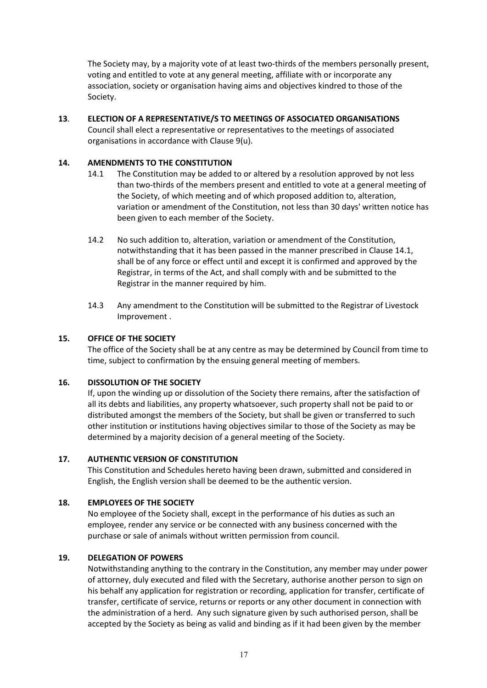The Society may, by a majority vote of at least two-thirds of the members personally present, voting and entitled to vote at any general meeting, affiliate with or incorporate any association, society or organisation having aims and objectives kindred to those of the Society.

#### **13**. **ELECTION OF A REPRESENTATIVE/S TO MEETINGS OF ASSOCIATED ORGANISATIONS**

Council shall elect a representative or representatives to the meetings of associated organisations in accordance with Clause 9(u).

#### **14. AMENDMENTS TO THE CONSTITUTION**

- 14.1 The Constitution may be added to or altered by a resolution approved by not less than two-thirds of the members present and entitled to vote at a general meeting of the Society, of which meeting and of which proposed addition to, alteration, variation or amendment of the Constitution, not less than 30 days' written notice has been given to each member of the Society.
- 14.2 No such addition to, alteration, variation or amendment of the Constitution, notwithstanding that it has been passed in the manner prescribed in Clause 14.1, shall be of any force or effect until and except it is confirmed and approved by the Registrar, in terms of the Act, and shall comply with and be submitted to the Registrar in the manner required by him.
- 14.3 Any amendment to the Constitution will be submitted to the Registrar of Livestock Improvement .

#### **15. OFFICE OF THE SOCIETY**

The office of the Society shall be at any centre as may be determined by Council from time to time, subject to confirmation by the ensuing general meeting of members.

#### **16. DISSOLUTION OF THE SOCIETY**

If, upon the winding up or dissolution of the Society there remains, after the satisfaction of all its debts and liabilities, any property whatsoever, such property shall not be paid to or distributed amongst the members of the Society, but shall be given or transferred to such other institution or institutions having objectives similar to those of the Society as may be determined by a majority decision of a general meeting of the Society.

#### **17. AUTHENTIC VERSION OF CONSTITUTION**

This Constitution and Schedules hereto having been drawn, submitted and considered in English, the English version shall be deemed to be the authentic version.

## **18. EMPLOYEES OF THE SOCIETY**

No employee of the Society shall, except in the performance of his duties as such an employee, render any service or be connected with any business concerned with the purchase or sale of animals without written permission from council.

#### **19. DELEGATION OF POWERS**

Notwithstanding anything to the contrary in the Constitution, any member may under power of attorney, duly executed and filed with the Secretary, authorise another person to sign on his behalf any application for registration or recording, application for transfer, certificate of transfer, certificate of service, returns or reports or any other document in connection with the administration of a herd. Any such signature given by such authorised person, shall be accepted by the Society as being as valid and binding as if it had been given by the member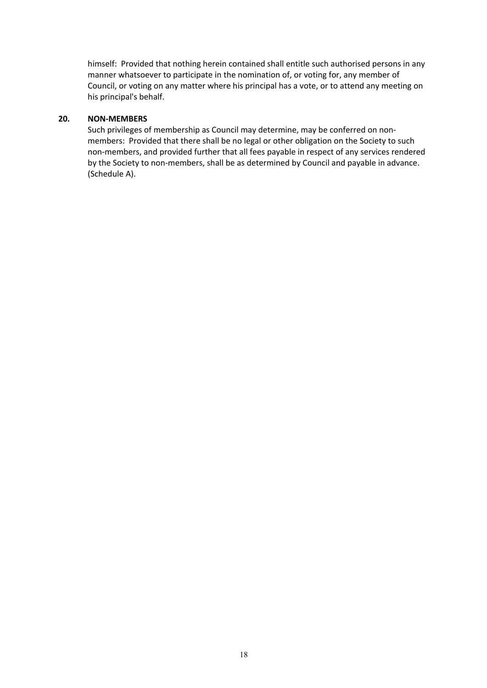himself: Provided that nothing herein contained shall entitle such authorised persons in any manner whatsoever to participate in the nomination of, or voting for, any member of Council, or voting on any matter where his principal has a vote, or to attend any meeting on his principal's behalf.

#### **20. NON-MEMBERS**

Such privileges of membership as Council may determine, may be conferred on nonmembers: Provided that there shall be no legal or other obligation on the Society to such non-members, and provided further that all fees payable in respect of any services rendered by the Society to non-members, shall be as determined by Council and payable in advance. (Schedule A).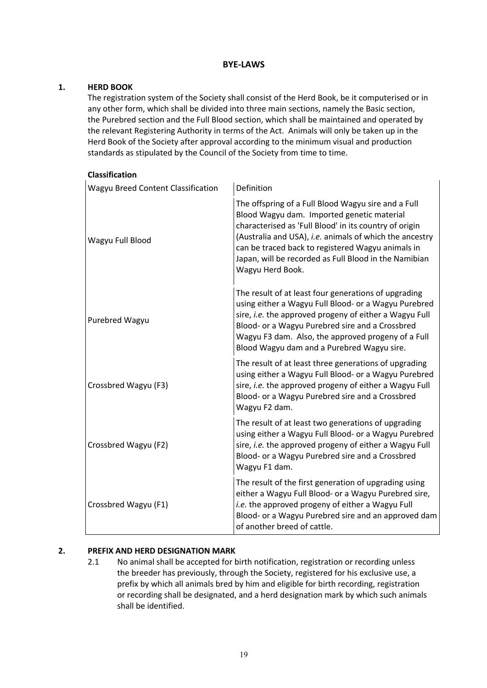# **1. HERD BOOK**

The registration system of the Society shall consist of the Herd Book, be it computerised or in any other form, which shall be divided into three main sections, namely the Basic section, the Purebred section and the Full Blood section, which shall be maintained and operated by the relevant Registering Authority in terms of the Act. Animals will only be taken up in the Herd Book of the Society after approval according to the minimum visual and production standards as stipulated by the Council of the Society from time to time.

| Wagyu Breed Content Classification | Definition                                                                                                                                                                                                                                                                                                                                               |
|------------------------------------|----------------------------------------------------------------------------------------------------------------------------------------------------------------------------------------------------------------------------------------------------------------------------------------------------------------------------------------------------------|
| Wagyu Full Blood                   | The offspring of a Full Blood Wagyu sire and a Full<br>Blood Wagyu dam. Imported genetic material<br>characterised as 'Full Blood' in its country of origin<br>(Australia and USA), i.e. animals of which the ancestry<br>can be traced back to registered Wagyu animals in<br>Japan, will be recorded as Full Blood in the Namibian<br>Wagyu Herd Book. |
| Purebred Wagyu                     | The result of at least four generations of upgrading<br>using either a Wagyu Full Blood- or a Wagyu Purebred<br>sire, i.e. the approved progeny of either a Wagyu Full<br>Blood- or a Wagyu Purebred sire and a Crossbred<br>Wagyu F3 dam. Also, the approved progeny of a Full<br>Blood Wagyu dam and a Purebred Wagyu sire.                            |
| Crossbred Wagyu (F3)               | The result of at least three generations of upgrading<br>using either a Wagyu Full Blood- or a Wagyu Purebred<br>sire, i.e. the approved progeny of either a Wagyu Full<br>Blood- or a Wagyu Purebred sire and a Crossbred<br>Wagyu F2 dam.                                                                                                              |
| Crossbred Wagyu (F2)               | The result of at least two generations of upgrading<br>using either a Wagyu Full Blood- or a Wagyu Purebred<br>sire, i.e. the approved progeny of either a Wagyu Full<br>Blood- or a Wagyu Purebred sire and a Crossbred<br>Wagyu F1 dam.                                                                                                                |
| Crossbred Wagyu (F1)               | The result of the first generation of upgrading using<br>either a Wagyu Full Blood- or a Wagyu Purebred sire,<br>i.e. the approved progeny of either a Wagyu Full<br>Blood- or a Wagyu Purebred sire and an approved dam<br>of another breed of cattle.                                                                                                  |

#### **Classification**

## **2. PREFIX AND HERD DESIGNATION MARK**

2.1 No animal shall be accepted for birth notification, registration or recording unless the breeder has previously, through the Society, registered for his exclusive use, a prefix by which all animals bred by him and eligible for birth recording, registration or recording shall be designated, and a herd designation mark by which such animals shall be identified.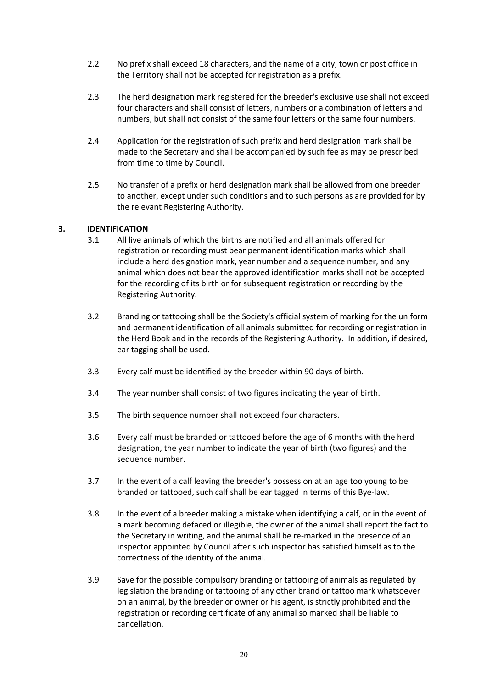- 2.2 No prefix shall exceed 18 characters, and the name of a city, town or post office in the Territory shall not be accepted for registration as a prefix.
- 2.3 The herd designation mark registered for the breeder's exclusive use shall not exceed four characters and shall consist of letters, numbers or a combination of letters and numbers, but shall not consist of the same four letters or the same four numbers.
- 2.4 Application for the registration of such prefix and herd designation mark shall be made to the Secretary and shall be accompanied by such fee as may be prescribed from time to time by Council.
- 2.5 No transfer of a prefix or herd designation mark shall be allowed from one breeder to another, except under such conditions and to such persons as are provided for by the relevant Registering Authority.

## **3. IDENTIFICATION**

- 3.1 All live animals of which the births are notified and all animals offered for registration or recording must bear permanent identification marks which shall include a herd designation mark, year number and a sequence number, and any animal which does not bear the approved identification marks shall not be accepted for the recording of its birth or for subsequent registration or recording by the Registering Authority.
- 3.2 Branding or tattooing shall be the Society's official system of marking for the uniform and permanent identification of all animals submitted for recording or registration in the Herd Book and in the records of the Registering Authority. In addition, if desired, ear tagging shall be used.
- 3.3 Every calf must be identified by the breeder within 90 days of birth.
- 3.4 The year number shall consist of two figures indicating the year of birth.
- 3.5 The birth sequence number shall not exceed four characters.
- 3.6 Every calf must be branded or tattooed before the age of 6 months with the herd designation, the year number to indicate the year of birth (two figures) and the sequence number.
- 3.7 In the event of a calf leaving the breeder's possession at an age too young to be branded or tattooed, such calf shall be ear tagged in terms of this Bye-law.
- 3.8 In the event of a breeder making a mistake when identifying a calf, or in the event of a mark becoming defaced or illegible, the owner of the animal shall report the fact to the Secretary in writing, and the animal shall be re-marked in the presence of an inspector appointed by Council after such inspector has satisfied himself as to the correctness of the identity of the animal.
- 3.9 Save for the possible compulsory branding or tattooing of animals as regulated by legislation the branding or tattooing of any other brand or tattoo mark whatsoever on an animal, by the breeder or owner or his agent, is strictly prohibited and the registration or recording certificate of any animal so marked shall be liable to cancellation.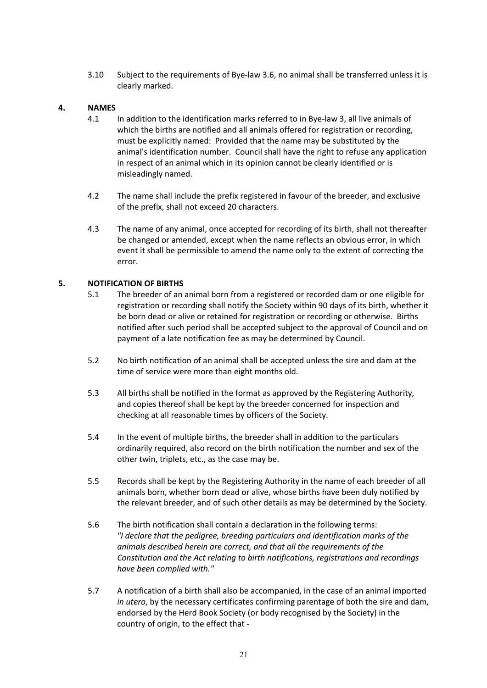3.10 Subject to the requirements of Bye-law 3.6, no animal shall be transferred unless it is clearly marked.

#### **4. NAMES**

- 4.1 In addition to the identification marks referred to in Bye-law 3, all live animals of which the births are notified and all animals offered for registration or recording, must be explicitly named: Provided that the name may be substituted by the animal's identification number. Council shall have the right to refuse any application in respect of an animal which in its opinion cannot be clearly identified or is misleadingly named.
- 4.2 The name shall include the prefix registered in favour of the breeder, and exclusive of the prefix, shall not exceed 20 characters.
- 4.3 The name of any animal, once accepted for recording of its birth, shall not thereafter be changed or amended, except when the name reflects an obvious error, in which event it shall be permissible to amend the name only to the extent of correcting the error.

#### **5. NOTIFICATION OF BIRTHS**

- 5.1 The breeder of an animal born from a registered or recorded dam or one eligible for registration or recording shall notify the Society within 90 days of its birth, whether it be born dead or alive or retained for registration or recording or otherwise. Births notified after such period shall be accepted subject to the approval of Council and on payment of a late notification fee as may be determined by Council.
- 5.2 No birth notification of an animal shall be accepted unless the sire and dam at the time of service were more than eight months old.
- 5.3 All births shall be notified in the format as approved by the Registering Authority, and copies thereof shall be kept by the breeder concerned for inspection and checking at all reasonable times by officers of the Society.
- 5.4 In the event of multiple births, the breeder shall in addition to the particulars ordinarily required, also record on the birth notification the number and sex of the other twin, triplets, etc., as the case may be.
- 5.5 Records shall be kept by the Registering Authority in the name of each breeder of all animals born, whether born dead or alive, whose births have been duly notified by the relevant breeder, and of such other details as may be determined by the Society.
- 5.6 The birth notification shall contain a declaration in the following terms: *"I declare that the pedigree, breeding particulars and identification marks of the animals described herein are correct, and that all the requirements of the Constitution and the Act relating to birth notifications, registrations and recordings have been complied with."*
- 5.7 A notification of a birth shall also be accompanied, in the case of an animal imported *in utero*, by the necessary certificates confirming parentage of both the sire and dam, endorsed by the Herd Book Society (or body recognised by the Society) in the country of origin, to the effect that -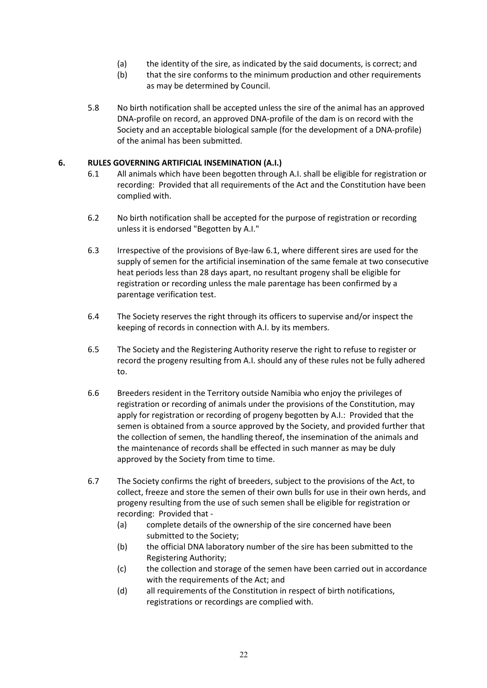- (a) the identity of the sire, as indicated by the said documents, is correct; and
- (b) that the sire conforms to the minimum production and other requirements as may be determined by Council.
- 5.8 No birth notification shall be accepted unless the sire of the animal has an approved DNA-profile on record, an approved DNA-profile of the dam is on record with the Society and an acceptable biological sample (for the development of a DNA-profile) of the animal has been submitted.

### **6. RULES GOVERNING ARTIFICIAL INSEMINATION (A.I.)**

- 6.1 All animals which have been begotten through A.I. shall be eligible for registration or recording: Provided that all requirements of the Act and the Constitution have been complied with.
- 6.2 No birth notification shall be accepted for the purpose of registration or recording unless it is endorsed "Begotten by A.I."
- 6.3 Irrespective of the provisions of Bye-law 6.1, where different sires are used for the supply of semen for the artificial insemination of the same female at two consecutive heat periods less than 28 days apart, no resultant progeny shall be eligible for registration or recording unless the male parentage has been confirmed by a parentage verification test.
- 6.4 The Society reserves the right through its officers to supervise and/or inspect the keeping of records in connection with A.I. by its members.
- 6.5 The Society and the Registering Authority reserve the right to refuse to register or record the progeny resulting from A.I. should any of these rules not be fully adhered to.
- 6.6 Breeders resident in the Territory outside Namibia who enjoy the privileges of registration or recording of animals under the provisions of the Constitution, may apply for registration or recording of progeny begotten by A.I.: Provided that the semen is obtained from a source approved by the Society, and provided further that the collection of semen, the handling thereof, the insemination of the animals and the maintenance of records shall be effected in such manner as may be duly approved by the Society from time to time.
- 6.7 The Society confirms the right of breeders, subject to the provisions of the Act, to collect, freeze and store the semen of their own bulls for use in their own herds, and progeny resulting from the use of such semen shall be eligible for registration or recording: Provided that -
	- (a) complete details of the ownership of the sire concerned have been submitted to the Society;
	- (b) the official DNA laboratory number of the sire has been submitted to the Registering Authority;
	- (c) the collection and storage of the semen have been carried out in accordance with the requirements of the Act: and
	- (d) all requirements of the Constitution in respect of birth notifications, registrations or recordings are complied with.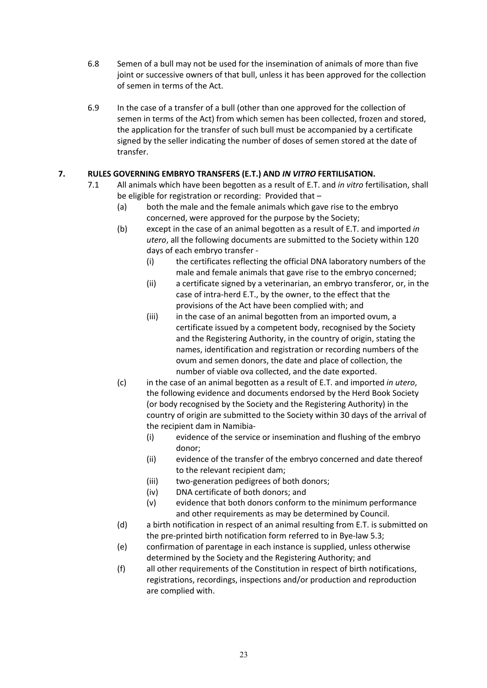- 6.8 Semen of a bull may not be used for the insemination of animals of more than five joint or successive owners of that bull, unless it has been approved for the collection of semen in terms of the Act.
- 6.9 In the case of a transfer of a bull (other than one approved for the collection of semen in terms of the Act) from which semen has been collected, frozen and stored, the application for the transfer of such bull must be accompanied by a certificate signed by the seller indicating the number of doses of semen stored at the date of transfer.

# **7. RULES GOVERNING EMBRYO TRANSFERS (E.T.) AND** *IN VITRO* **FERTILISATION.**

- 7.1 All animals which have been begotten as a result of E.T. and *in vitro* fertilisation, shall be eligible for registration or recording: Provided that –
	- (a) both the male and the female animals which gave rise to the embryo concerned, were approved for the purpose by the Society;
	- (b) except in the case of an animal begotten as a result of E.T. and imported *in utero*, all the following documents are submitted to the Society within 120 days of each embryo transfer -
		- (i) the certificates reflecting the official DNA laboratory numbers of the male and female animals that gave rise to the embryo concerned;
		- (ii) a certificate signed by a veterinarian, an embryo transferor, or, in the case of intra-herd E.T., by the owner, to the effect that the provisions of the Act have been complied with; and
		- (iii) in the case of an animal begotten from an imported ovum, a certificate issued by a competent body, recognised by the Society and the Registering Authority, in the country of origin, stating the names, identification and registration or recording numbers of the ovum and semen donors, the date and place of collection, the number of viable ova collected, and the date exported.
	- (c) in the case of an animal begotten as a result of E.T. and imported *in utero*, the following evidence and documents endorsed by the Herd Book Society (or body recognised by the Society and the Registering Authority) in the country of origin are submitted to the Society within 30 days of the arrival of the recipient dam in Namibia-
		- (i) evidence of the service or insemination and flushing of the embryo donor;
		- (ii) evidence of the transfer of the embryo concerned and date thereof to the relevant recipient dam;
		- (iii) two-generation pedigrees of both donors;
		- (iv) DNA certificate of both donors; and
		- (v) evidence that both donors conform to the minimum performance and other requirements as may be determined by Council.
	- (d) a birth notification in respect of an animal resulting from E.T. is submitted on the pre-printed birth notification form referred to in Bye-law 5.3;
	- (e) confirmation of parentage in each instance is supplied, unless otherwise determined by the Society and the Registering Authority; and
	- (f) all other requirements of the Constitution in respect of birth notifications, registrations, recordings, inspections and/or production and reproduction are complied with.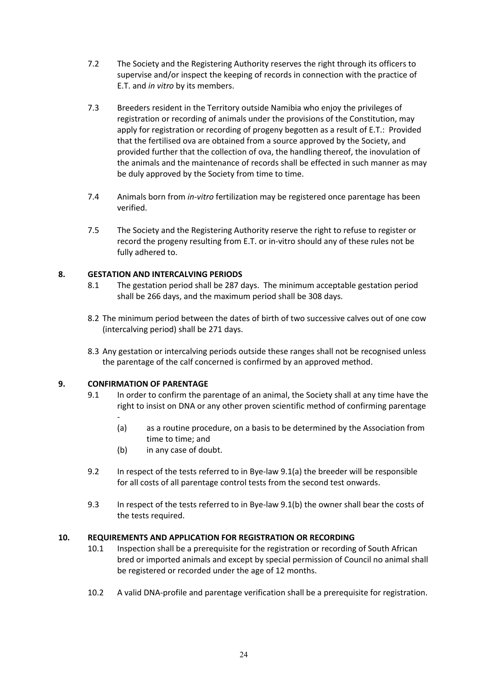- 7.2 The Society and the Registering Authority reserves the right through its officers to supervise and/or inspect the keeping of records in connection with the practice of E.T. and *in vitro* by its members.
- 7.3 Breeders resident in the Territory outside Namibia who enjoy the privileges of registration or recording of animals under the provisions of the Constitution, may apply for registration or recording of progeny begotten as a result of E.T.: Provided that the fertilised ova are obtained from a source approved by the Society, and provided further that the collection of ova, the handling thereof, the inovulation of the animals and the maintenance of records shall be effected in such manner as may be duly approved by the Society from time to time.
- 7.4 Animals born from *in-vitro* fertilization may be registered once parentage has been verified.
- 7.5 The Society and the Registering Authority reserve the right to refuse to register or record the progeny resulting from E.T. or in-vitro should any of these rules not be fully adhered to.

#### **8. GESTATION AND INTERCALVING PERIODS**

- 8.1 The gestation period shall be 287 days. The minimum acceptable gestation period shall be 266 days, and the maximum period shall be 308 days.
- 8.2 The minimum period between the dates of birth of two successive calves out of one cow (intercalving period) shall be 271 days.
- 8.3 Any gestation or intercalving periods outside these ranges shall not be recognised unless the parentage of the calf concerned is confirmed by an approved method.

## **9. CONFIRMATION OF PARENTAGE**

-

- 9.1 In order to confirm the parentage of an animal, the Society shall at any time have the right to insist on DNA or any other proven scientific method of confirming parentage
	- (a) as a routine procedure, on a basis to be determined by the Association from time to time; and
	- (b) in any case of doubt.
- 9.2 In respect of the tests referred to in Bye-law 9.1(a) the breeder will be responsible for all costs of all parentage control tests from the second test onwards.
- 9.3 In respect of the tests referred to in Bye-law 9.1(b) the owner shall bear the costs of the tests required.

#### **10. REQUIREMENTS AND APPLICATION FOR REGISTRATION OR RECORDING**

- 10.1 Inspection shall be a prerequisite for the registration or recording of South African bred or imported animals and except by special permission of Council no animal shall be registered or recorded under the age of 12 months.
- 10.2 A valid DNA-profile and parentage verification shall be a prerequisite for registration.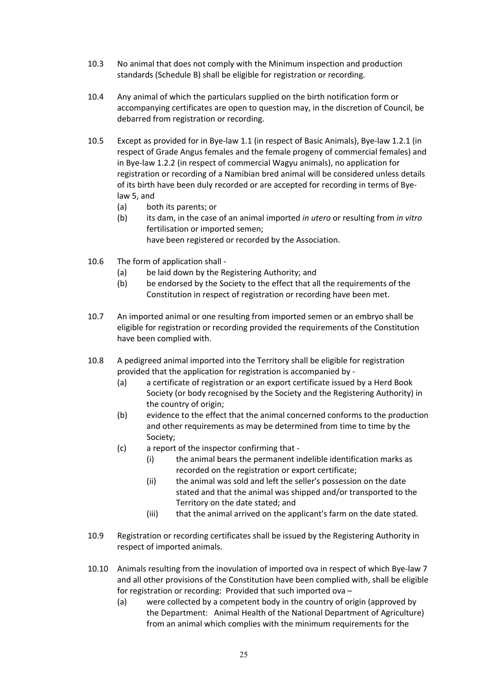- 10.3 No animal that does not comply with the Minimum inspection and production standards (Schedule B) shall be eligible for registration or recording.
- 10.4 Any animal of which the particulars supplied on the birth notification form or accompanying certificates are open to question may, in the discretion of Council, be debarred from registration or recording.
- 10.5 Except as provided for in Bye-law 1.1 (in respect of Basic Animals), Bye-law 1.2.1 (in respect of Grade Angus females and the female progeny of commercial females) and in Bye-law 1.2.2 (in respect of commercial Wagyu animals), no application for registration or recording of a Namibian bred animal will be considered unless details of its birth have been duly recorded or are accepted for recording in terms of Byelaw 5, and
	- (a) both its parents; or
	- (b) its dam, in the case of an animal imported *in utero* or resulting from *in vitro* fertilisation or imported semen; have been registered or recorded by the Association.
- 10.6 The form of application shall
	- (a) be laid down by the Registering Authority; and
	- (b) be endorsed by the Society to the effect that all the requirements of the Constitution in respect of registration or recording have been met.
- 10.7 An imported animal or one resulting from imported semen or an embryo shall be eligible for registration or recording provided the requirements of the Constitution have been complied with.
- 10.8 A pedigreed animal imported into the Territory shall be eligible for registration provided that the application for registration is accompanied by -
	- (a) a certificate of registration or an export certificate issued by a Herd Book Society (or body recognised by the Society and the Registering Authority) in the country of origin;
	- (b) evidence to the effect that the animal concerned conforms to the production and other requirements as may be determined from time to time by the Society;
	- (c) a report of the inspector confirming that
		- (i) the animal bears the permanent indelible identification marks as recorded on the registration or export certificate;
		- (ii) the animal was sold and left the seller's possession on the date stated and that the animal was shipped and/or transported to the Territory on the date stated; and
		- (iii) that the animal arrived on the applicant's farm on the date stated.
- 10.9 Registration or recording certificates shall be issued by the Registering Authority in respect of imported animals.
- 10.10 Animals resulting from the inovulation of imported ova in respect of which Bye-law 7 and all other provisions of the Constitution have been complied with, shall be eligible for registration or recording: Provided that such imported ova –
	- (a) were collected by a competent body in the country of origin (approved by the Department: Animal Health of the National Department of Agriculture) from an animal which complies with the minimum requirements for the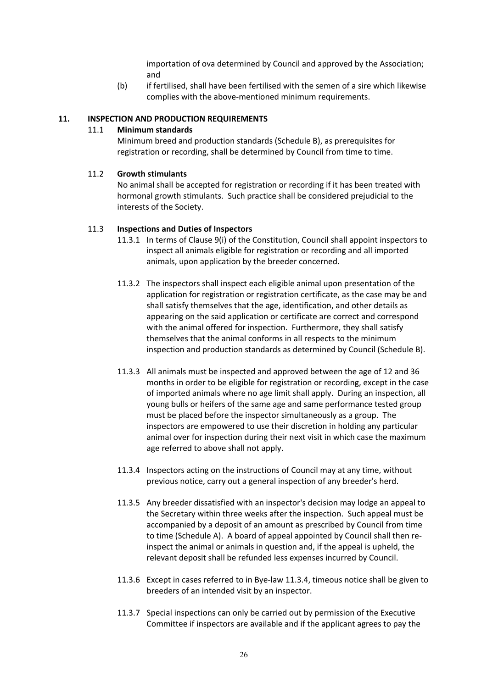importation of ova determined by Council and approved by the Association; and

(b) if fertilised, shall have been fertilised with the semen of a sire which likewise complies with the above-mentioned minimum requirements.

#### **11. INSPECTION AND PRODUCTION REQUIREMENTS**

#### 11.1 **Minimum standards**

Minimum breed and production standards (Schedule B), as prerequisites for registration or recording, shall be determined by Council from time to time.

#### 11.2 **Growth stimulants**

No animal shall be accepted for registration or recording if it has been treated with hormonal growth stimulants. Such practice shall be considered prejudicial to the interests of the Society.

#### 11.3 **Inspections and Duties of Inspectors**

- 11.3.1 In terms of Clause 9(i) of the Constitution, Council shall appoint inspectors to inspect all animals eligible for registration or recording and all imported animals, upon application by the breeder concerned.
- 11.3.2 The inspectors shall inspect each eligible animal upon presentation of the application for registration or registration certificate, as the case may be and shall satisfy themselves that the age, identification, and other details as appearing on the said application or certificate are correct and correspond with the animal offered for inspection. Furthermore, they shall satisfy themselves that the animal conforms in all respects to the minimum inspection and production standards as determined by Council (Schedule B).
- 11.3.3 All animals must be inspected and approved between the age of 12 and 36 months in order to be eligible for registration or recording, except in the case of imported animals where no age limit shall apply. During an inspection, all young bulls or heifers of the same age and same performance tested group must be placed before the inspector simultaneously as a group. The inspectors are empowered to use their discretion in holding any particular animal over for inspection during their next visit in which case the maximum age referred to above shall not apply.
- 11.3.4 Inspectors acting on the instructions of Council may at any time, without previous notice, carry out a general inspection of any breeder's herd.
- 11.3.5 Any breeder dissatisfied with an inspector's decision may lodge an appeal to the Secretary within three weeks after the inspection. Such appeal must be accompanied by a deposit of an amount as prescribed by Council from time to time (Schedule A). A board of appeal appointed by Council shall then reinspect the animal or animals in question and, if the appeal is upheld, the relevant deposit shall be refunded less expenses incurred by Council.
- 11.3.6 Except in cases referred to in Bye-law 11.3.4, timeous notice shall be given to breeders of an intended visit by an inspector.
- 11.3.7 Special inspections can only be carried out by permission of the Executive Committee if inspectors are available and if the applicant agrees to pay the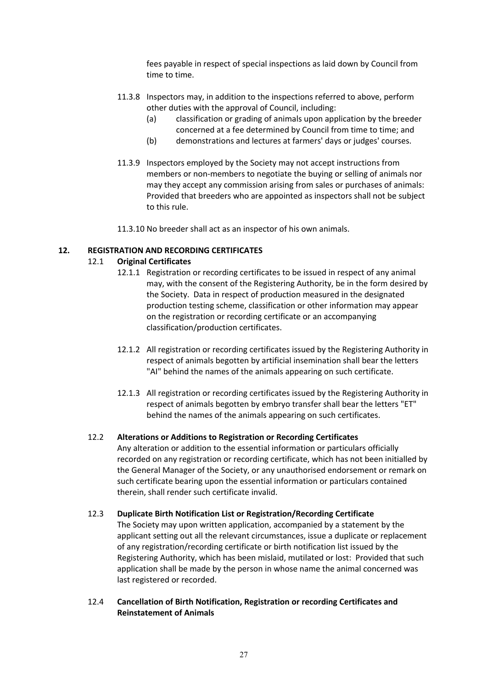fees payable in respect of special inspections as laid down by Council from time to time.

- 11.3.8 Inspectors may, in addition to the inspections referred to above, perform other duties with the approval of Council, including:
	- (a) classification or grading of animals upon application by the breeder concerned at a fee determined by Council from time to time; and
	- (b) demonstrations and lectures at farmers' days or judges' courses.
- 11.3.9 Inspectors employed by the Society may not accept instructions from members or non-members to negotiate the buying or selling of animals nor may they accept any commission arising from sales or purchases of animals: Provided that breeders who are appointed as inspectors shall not be subject to this rule.

11.3.10 No breeder shall act as an inspector of his own animals.

#### **12. REGISTRATION AND RECORDING CERTIFICATES**

#### 12.1 **Original Certificates**

- 12.1.1 Registration or recording certificates to be issued in respect of any animal may, with the consent of the Registering Authority, be in the form desired by the Society. Data in respect of production measured in the designated production testing scheme, classification or other information may appear on the registration or recording certificate or an accompanying classification/production certificates.
- 12.1.2 All registration or recording certificates issued by the Registering Authority in respect of animals begotten by artificial insemination shall bear the letters "AI" behind the names of the animals appearing on such certificate.
- 12.1.3 All registration or recording certificates issued by the Registering Authority in respect of animals begotten by embryo transfer shall bear the letters "ET" behind the names of the animals appearing on such certificates.

## 12.2 **Alterations or Additions to Registration or Recording Certificates**

Any alteration or addition to the essential information or particulars officially recorded on any registration or recording certificate, which has not been initialled by the General Manager of the Society, or any unauthorised endorsement or remark on such certificate bearing upon the essential information or particulars contained therein, shall render such certificate invalid.

#### 12.3 **Duplicate Birth Notification List or Registration/Recording Certificate**

The Society may upon written application, accompanied by a statement by the applicant setting out all the relevant circumstances, issue a duplicate or replacement of any registration/recording certificate or birth notification list issued by the Registering Authority, which has been mislaid, mutilated or lost: Provided that such application shall be made by the person in whose name the animal concerned was last registered or recorded.

## 12.4 **Cancellation of Birth Notification, Registration or recording Certificates and Reinstatement of Animals**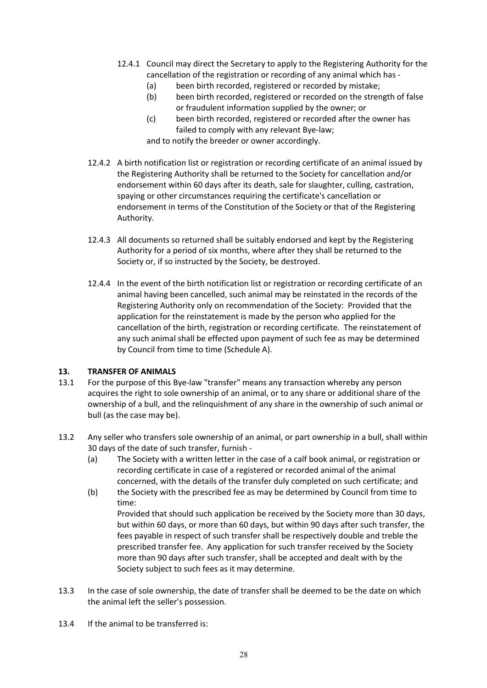- 12.4.1 Council may direct the Secretary to apply to the Registering Authority for the cancellation of the registration or recording of any animal which has -
	- (a) been birth recorded, registered or recorded by mistake;
	- (b) been birth recorded, registered or recorded on the strength of false or fraudulent information supplied by the owner; or
	- (c) been birth recorded, registered or recorded after the owner has failed to comply with any relevant Bye-law;

and to notify the breeder or owner accordingly.

- 12.4.2 A birth notification list or registration or recording certificate of an animal issued by the Registering Authority shall be returned to the Society for cancellation and/or endorsement within 60 days after its death, sale for slaughter, culling, castration, spaying or other circumstances requiring the certificate's cancellation or endorsement in terms of the Constitution of the Society or that of the Registering Authority.
- 12.4.3 All documents so returned shall be suitably endorsed and kept by the Registering Authority for a period of six months, where after they shall be returned to the Society or, if so instructed by the Society, be destroyed.
- 12.4.4 In the event of the birth notification list or registration or recording certificate of an animal having been cancelled, such animal may be reinstated in the records of the Registering Authority only on recommendation of the Society: Provided that the application for the reinstatement is made by the person who applied for the cancellation of the birth, registration or recording certificate. The reinstatement of any such animal shall be effected upon payment of such fee as may be determined by Council from time to time (Schedule A).

#### **13. TRANSFER OF ANIMALS**

- 13.1 For the purpose of this Bye-law "transfer" means any transaction whereby any person acquires the right to sole ownership of an animal, or to any share or additional share of the ownership of a bull, and the relinquishment of any share in the ownership of such animal or bull (as the case may be).
- 13.2 Any seller who transfers sole ownership of an animal, or part ownership in a bull, shall within 30 days of the date of such transfer, furnish -
	- (a) The Society with a written letter in the case of a calf book animal, or registration or recording certificate in case of a registered or recorded animal of the animal concerned, with the details of the transfer duly completed on such certificate; and
	- (b) the Society with the prescribed fee as may be determined by Council from time to time:

Provided that should such application be received by the Society more than 30 days, but within 60 days, or more than 60 days, but within 90 days after such transfer, the fees payable in respect of such transfer shall be respectively double and treble the prescribed transfer fee. Any application for such transfer received by the Society more than 90 days after such transfer, shall be accepted and dealt with by the Society subject to such fees as it may determine.

- 13.3 In the case of sole ownership, the date of transfer shall be deemed to be the date on which the animal left the seller's possession.
- 13.4 If the animal to be transferred is: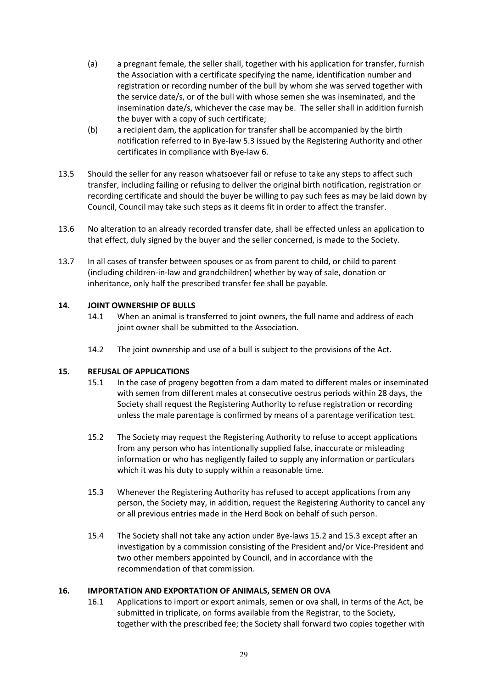- (a) a pregnant female, the seller shall, together with his application for transfer, furnish the Association with a certificate specifying the name, identification number and registration or recording number of the bull by whom she was served together with the service date/s, or of the bull with whose semen she was inseminated, and the insemination date/s, whichever the case may be. The seller shall in addition furnish the buyer with a copy of such certificate;
- (b) a recipient dam, the application for transfer shall be accompanied by the birth notification referred to in Bye-law 5.3 issued by the Registering Authority and other certificates in compliance with Bye-law 6.
- 13.5 Should the seller for any reason whatsoever fail or refuse to take any steps to affect such transfer, including failing or refusing to deliver the original birth notification, registration or recording certificate and should the buyer be willing to pay such fees as may be laid down by Council, Council may take such steps as it deems fit in order to affect the transfer.
- 13.6 No alteration to an already recorded transfer date, shall be effected unless an application to that effect, duly signed by the buyer and the seller concerned, is made to the Society.
- 13.7 In all cases of transfer between spouses or as from parent to child, or child to parent (including children-in-law and grandchildren) whether by way of sale, donation or inheritance, only half the prescribed transfer fee shall be payable.

#### **14. JOINT OWNERSHIP OF BULLS**

- 14.1 When an animal is transferred to joint owners, the full name and address of each joint owner shall be submitted to the Association.
- 14.2 The joint ownership and use of a bull is subject to the provisions of the Act.

#### **15. REFUSAL OF APPLICATIONS**

- 15.1 In the case of progeny begotten from a dam mated to different males or inseminated with semen from different males at consecutive oestrus periods within 28 days, the Society shall request the Registering Authority to refuse registration or recording unless the male parentage is confirmed by means of a parentage verification test.
- 15.2 The Society may request the Registering Authority to refuse to accept applications from any person who has intentionally supplied false, inaccurate or misleading information or who has negligently failed to supply any information or particulars which it was his duty to supply within a reasonable time.
- 15.3 Whenever the Registering Authority has refused to accept applications from any person, the Society may, in addition, request the Registering Authority to cancel any or all previous entries made in the Herd Book on behalf of such person.
- 15.4 The Society shall not take any action under Bye-laws 15.2 and 15.3 except after an investigation by a commission consisting of the President and/or Vice-President and two other members appointed by Council, and in accordance with the recommendation of that commission.

#### **16. IMPORTATION AND EXPORTATION OF ANIMALS, SEMEN OR OVA**

16.1 Applications to import or export animals, semen or ova shall, in terms of the Act, be submitted in triplicate, on forms available from the Registrar, to the Society, together with the prescribed fee; the Society shall forward two copies together with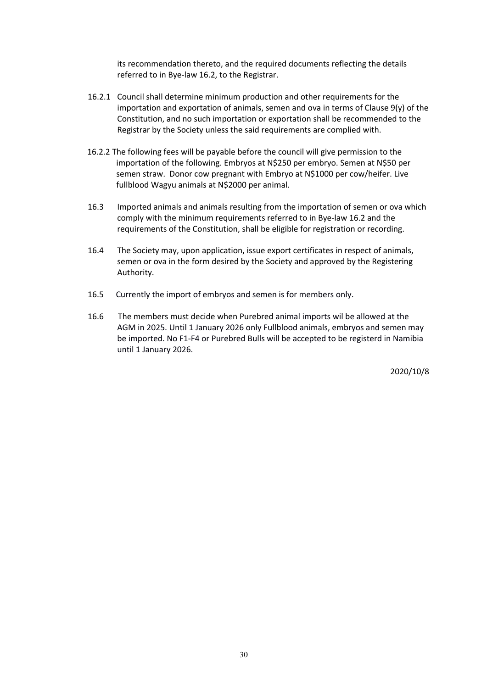its recommendation thereto, and the required documents reflecting the details referred to in Bye-law 16.2, to the Registrar.

- 16.2.1 Council shall determine minimum production and other requirements for the importation and exportation of animals, semen and ova in terms of Clause 9(y) of the Constitution, and no such importation or exportation shall be recommended to the Registrar by the Society unless the said requirements are complied with.
- 16.2.2 The following fees will be payable before the council will give permission to the importation of the following. Embryos at N\$250 per embryo. Semen at N\$50 per semen straw. Donor cow pregnant with Embryo at N\$1000 per cow/heifer. Live fullblood Wagyu animals at N\$2000 per animal.
- 16.3 Imported animals and animals resulting from the importation of semen or ova which comply with the minimum requirements referred to in Bye-law 16.2 and the requirements of the Constitution, shall be eligible for registration or recording.
- 16.4 The Society may, upon application, issue export certificates in respect of animals, semen or ova in the form desired by the Society and approved by the Registering Authority.
- 16.5 Currently the import of embryos and semen is for members only.
- 16.6 The members must decide when Purebred animal imports wil be allowed at the AGM in 2025. Until 1 January 2026 only Fullblood animals, embryos and semen may be imported. No F1-F4 or Purebred Bulls will be accepted to be registerd in Namibia until 1 January 2026.

2020/10/8